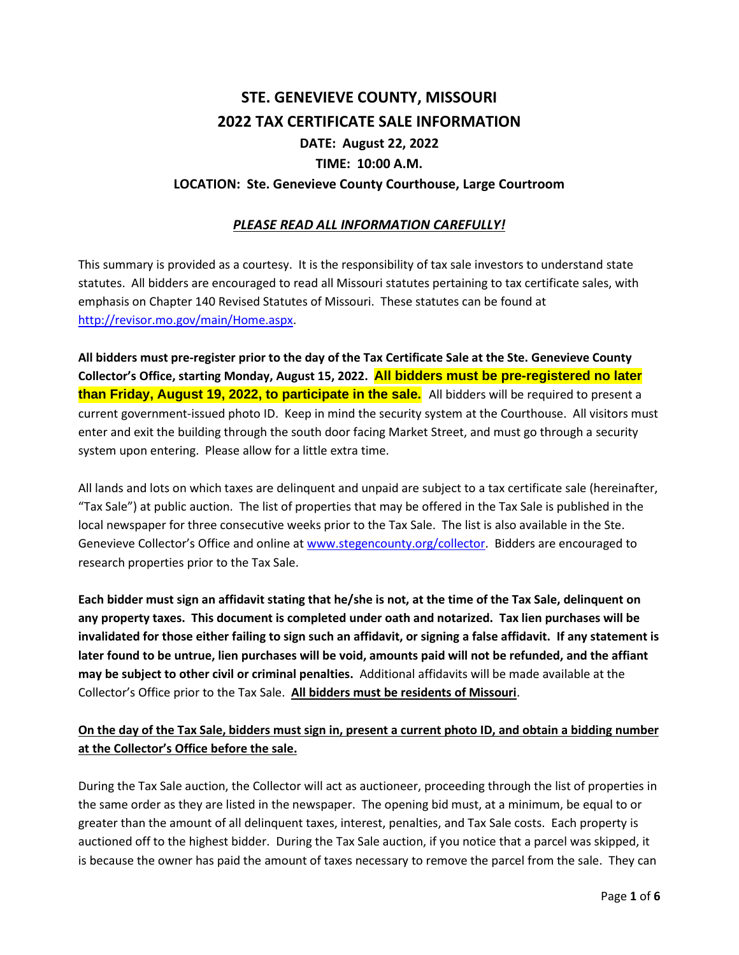# **STE. GENEVIEVE COUNTY, MISSOURI 2022 TAX CERTIFICATE SALE INFORMATION DATE: August 22, 2022 TIME: 10:00 A.M.**

#### **LOCATION: Ste. Genevieve County Courthouse, Large Courtroom**

#### *PLEASE READ ALL INFORMATION CAREFULLY!*

This summary is provided as a courtesy. It is the responsibility of tax sale investors to understand state statutes. All bidders are encouraged to read all Missouri statutes pertaining to tax certificate sales, with emphasis on Chapter 140 Revised Statutes of Missouri. These statutes can be found at [http://revisor.mo.gov/main/Home.aspx.](http://revisor.mo.gov/main/Home.aspx)

**All bidders must pre-register prior to the day of the Tax Certificate Sale at the Ste. Genevieve County Collector's Office, starting Monday, August 15, 2022. All bidders must be pre-registered no later than Friday, August 19, 2022, to participate in the sale.** All bidders will be required to present a current government-issued photo ID. Keep in mind the security system at the Courthouse. All visitors must enter and exit the building through the south door facing Market Street, and must go through a security system upon entering. Please allow for a little extra time.

All lands and lots on which taxes are delinquent and unpaid are subject to a tax certificate sale (hereinafter, "Tax Sale") at public auction. The list of properties that may be offered in the Tax Sale is published in the local newspaper for three consecutive weeks prior to the Tax Sale. The list is also available in the Ste. Genevieve Collector's Office and online at [www.stegencounty.org/collector.](http://www.stegencounty.org/collector) Bidders are encouraged to research properties prior to the Tax Sale.

**Each bidder must sign an affidavit stating that he/she is not, at the time of the Tax Sale, delinquent on any property taxes. This document is completed under oath and notarized. Tax lien purchases will be invalidated for those either failing to sign such an affidavit, or signing a false affidavit. If any statement is later found to be untrue, lien purchases will be void, amounts paid will not be refunded, and the affiant may be subject to other civil or criminal penalties.** Additional affidavits will be made available at the Collector's Office prior to the Tax Sale. **All bidders must be residents of Missouri**.

#### **On the day of the Tax Sale, bidders must sign in, present a current photo ID, and obtain a bidding number at the Collector's Office before the sale.**

During the Tax Sale auction, the Collector will act as auctioneer, proceeding through the list of properties in the same order as they are listed in the newspaper. The opening bid must, at a minimum, be equal to or greater than the amount of all delinquent taxes, interest, penalties, and Tax Sale costs. Each property is auctioned off to the highest bidder. During the Tax Sale auction, if you notice that a parcel was skipped, it is because the owner has paid the amount of taxes necessary to remove the parcel from the sale. They can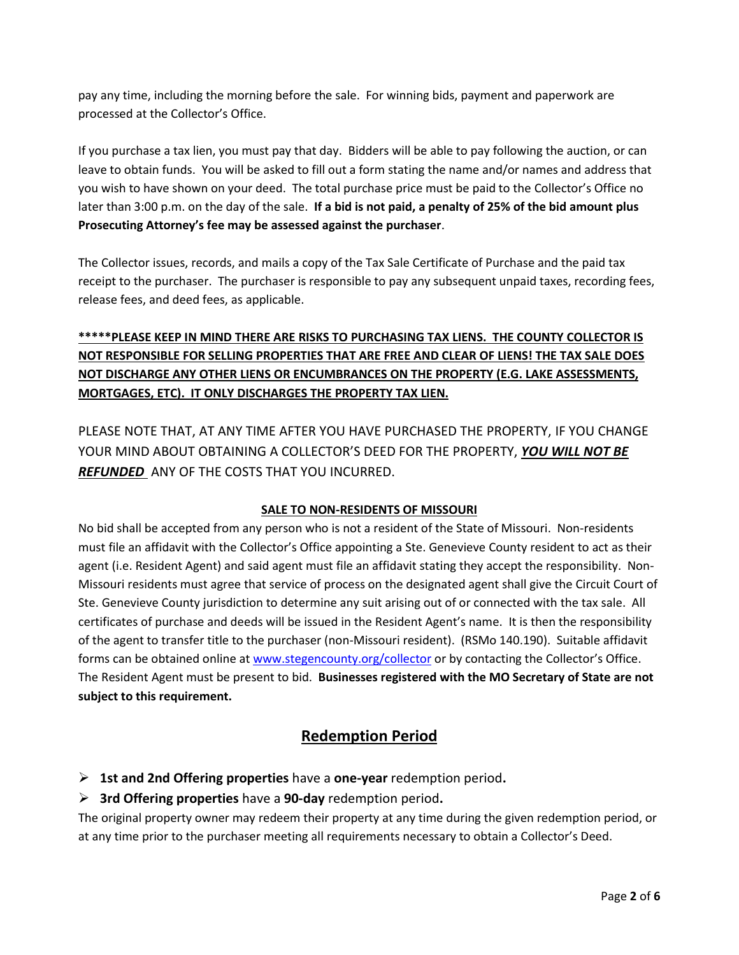pay any time, including the morning before the sale. For winning bids, payment and paperwork are processed at the Collector's Office.

If you purchase a tax lien, you must pay that day. Bidders will be able to pay following the auction, or can leave to obtain funds. You will be asked to fill out a form stating the name and/or names and address that you wish to have shown on your deed. The total purchase price must be paid to the Collector's Office no later than 3:00 p.m. on the day of the sale. **If a bid is not paid, a penalty of 25% of the bid amount plus Prosecuting Attorney's fee may be assessed against the purchaser**.

The Collector issues, records, and mails a copy of the Tax Sale Certificate of Purchase and the paid tax receipt to the purchaser. The purchaser is responsible to pay any subsequent unpaid taxes, recording fees, release fees, and deed fees, as applicable.

## **\*\*\*\*\*PLEASE KEEP IN MIND THERE ARE RISKS TO PURCHASING TAX LIENS. THE COUNTY COLLECTOR IS NOT RESPONSIBLE FOR SELLING PROPERTIES THAT ARE FREE AND CLEAR OF LIENS! THE TAX SALE DOES NOT DISCHARGE ANY OTHER LIENS OR ENCUMBRANCES ON THE PROPERTY (E.G. LAKE ASSESSMENTS, MORTGAGES, ETC). IT ONLY DISCHARGES THE PROPERTY TAX LIEN.**

PLEASE NOTE THAT, AT ANY TIME AFTER YOU HAVE PURCHASED THE PROPERTY, IF YOU CHANGE YOUR MIND ABOUT OBTAINING A COLLECTOR'S DEED FOR THE PROPERTY, *YOU WILL NOT BE REFUNDED* ANY OF THE COSTS THAT YOU INCURRED.

#### **SALE TO NON-RESIDENTS OF MISSOURI**

No bid shall be accepted from any person who is not a resident of the State of Missouri. Non-residents must file an affidavit with the Collector's Office appointing a Ste. Genevieve County resident to act as their agent (i.e. Resident Agent) and said agent must file an affidavit stating they accept the responsibility. Non-Missouri residents must agree that service of process on the designated agent shall give the Circuit Court of Ste. Genevieve County jurisdiction to determine any suit arising out of or connected with the tax sale. All certificates of purchase and deeds will be issued in the Resident Agent's name. It is then the responsibility of the agent to transfer title to the purchaser (non-Missouri resident). (RSMo 140.190). Suitable affidavit forms can be obtained online a[t www.stegencounty.org/collector](http://www.stegencounty.org/collector) or by contacting the Collector's Office. The Resident Agent must be present to bid. **Businesses registered with the MO Secretary of State are not subject to this requirement.**

### **Redemption Period**

- ➢ **1st and 2nd Offering properties** have a **one-year** redemption period**.**
- ➢ **3rd Offering properties** have a **90-day** redemption period**.**

The original property owner may redeem their property at any time during the given redemption period, or at any time prior to the purchaser meeting all requirements necessary to obtain a Collector's Deed.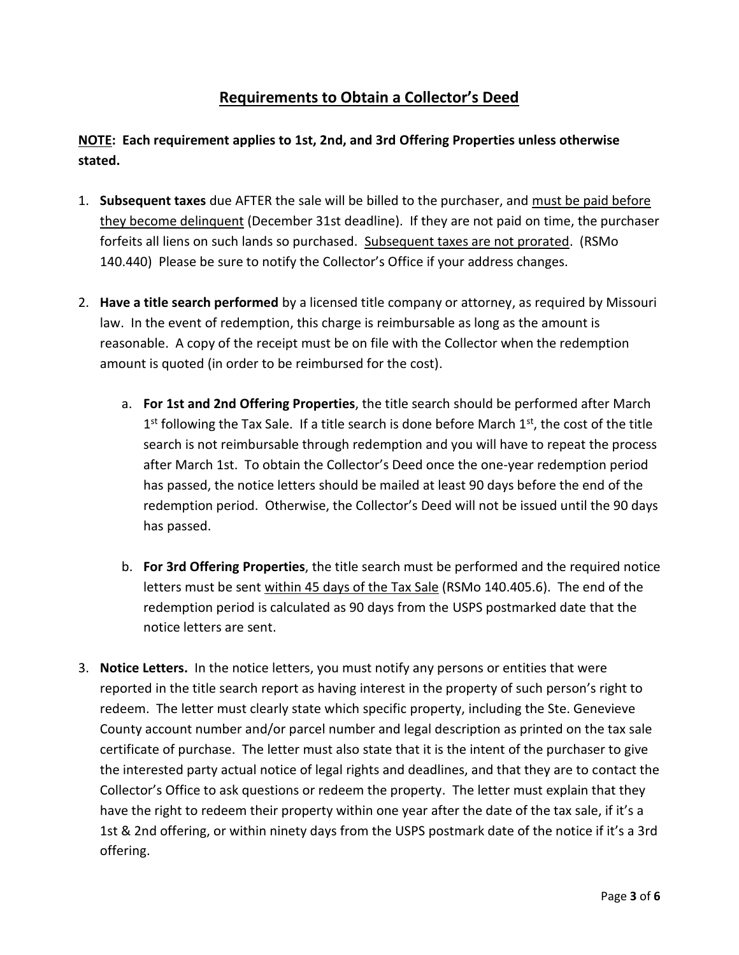# **Requirements to Obtain a Collector's Deed**

**NOTE: Each requirement applies to 1st, 2nd, and 3rd Offering Properties unless otherwise stated.**

- 1. **Subsequent taxes** due AFTER the sale will be billed to the purchaser, and must be paid before they become delinquent (December 31st deadline). If they are not paid on time, the purchaser forfeits all liens on such lands so purchased. Subsequent taxes are not prorated. (RSMo 140.440) Please be sure to notify the Collector's Office if your address changes.
- 2. **Have a title search performed** by a licensed title company or attorney, as required by Missouri law. In the event of redemption, this charge is reimbursable as long as the amount is reasonable. A copy of the receipt must be on file with the Collector when the redemption amount is quoted (in order to be reimbursed for the cost).
	- a. **For 1st and 2nd Offering Properties**, the title search should be performed after March 1<sup>st</sup> following the Tax Sale. If a title search is done before March 1<sup>st</sup>, the cost of the title search is not reimbursable through redemption and you will have to repeat the process after March 1st. To obtain the Collector's Deed once the one-year redemption period has passed, the notice letters should be mailed at least 90 days before the end of the redemption period. Otherwise, the Collector's Deed will not be issued until the 90 days has passed.
	- b. **For 3rd Offering Properties**, the title search must be performed and the required notice letters must be sent within 45 days of the Tax Sale (RSMo 140.405.6). The end of the redemption period is calculated as 90 days from the USPS postmarked date that the notice letters are sent.
- 3. **Notice Letters.** In the notice letters, you must notify any persons or entities that were reported in the title search report as having interest in the property of such person's right to redeem. The letter must clearly state which specific property, including the Ste. Genevieve County account number and/or parcel number and legal description as printed on the tax sale certificate of purchase. The letter must also state that it is the intent of the purchaser to give the interested party actual notice of legal rights and deadlines, and that they are to contact the Collector's Office to ask questions or redeem the property. The letter must explain that they have the right to redeem their property within one year after the date of the tax sale, if it's a 1st & 2nd offering, or within ninety days from the USPS postmark date of the notice if it's a 3rd offering.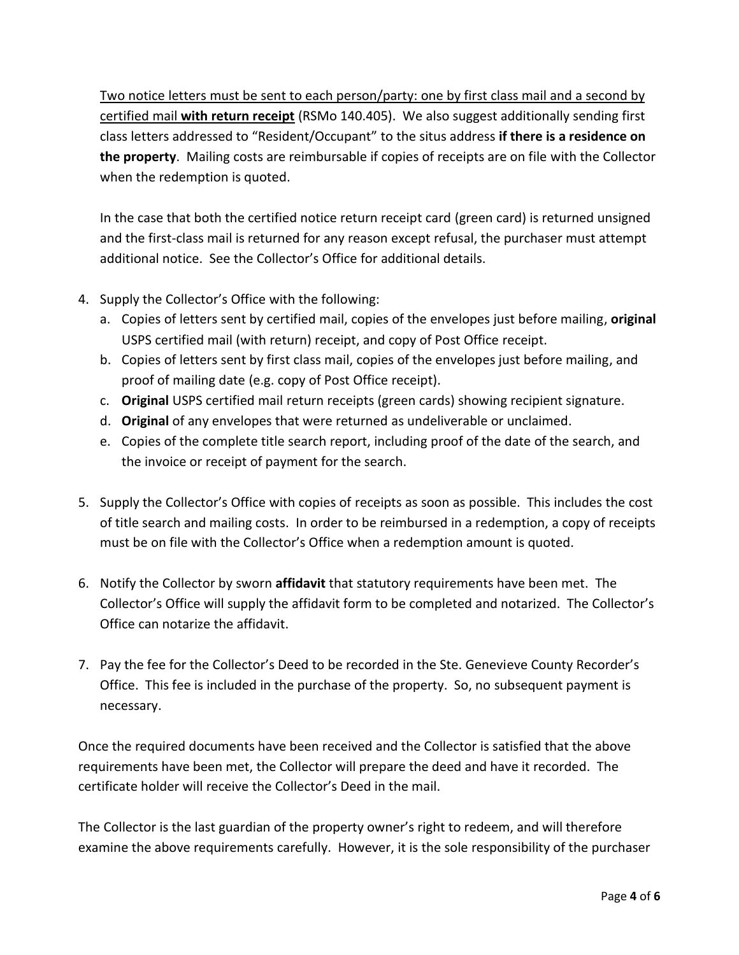Two notice letters must be sent to each person/party: one by first class mail and a second by certified mail **with return receipt** (RSMo 140.405). We also suggest additionally sending first class letters addressed to "Resident/Occupant" to the situs address **if there is a residence on the property**. Mailing costs are reimbursable if copies of receipts are on file with the Collector when the redemption is quoted.

In the case that both the certified notice return receipt card (green card) is returned unsigned and the first-class mail is returned for any reason except refusal, the purchaser must attempt additional notice. See the Collector's Office for additional details.

- 4. Supply the Collector's Office with the following:
	- a. Copies of letters sent by certified mail, copies of the envelopes just before mailing, **original** USPS certified mail (with return) receipt, and copy of Post Office receipt.
	- b. Copies of letters sent by first class mail, copies of the envelopes just before mailing, and proof of mailing date (e.g. copy of Post Office receipt).
	- c. **Original** USPS certified mail return receipts (green cards) showing recipient signature.
	- d. **Original** of any envelopes that were returned as undeliverable or unclaimed.
	- e. Copies of the complete title search report, including proof of the date of the search, and the invoice or receipt of payment for the search.
- 5. Supply the Collector's Office with copies of receipts as soon as possible. This includes the cost of title search and mailing costs. In order to be reimbursed in a redemption, a copy of receipts must be on file with the Collector's Office when a redemption amount is quoted.
- 6. Notify the Collector by sworn **affidavit** that statutory requirements have been met. The Collector's Office will supply the affidavit form to be completed and notarized. The Collector's Office can notarize the affidavit.
- 7. Pay the fee for the Collector's Deed to be recorded in the Ste. Genevieve County Recorder's Office. This fee is included in the purchase of the property. So, no subsequent payment is necessary.

Once the required documents have been received and the Collector is satisfied that the above requirements have been met, the Collector will prepare the deed and have it recorded. The certificate holder will receive the Collector's Deed in the mail.

The Collector is the last guardian of the property owner's right to redeem, and will therefore examine the above requirements carefully. However, it is the sole responsibility of the purchaser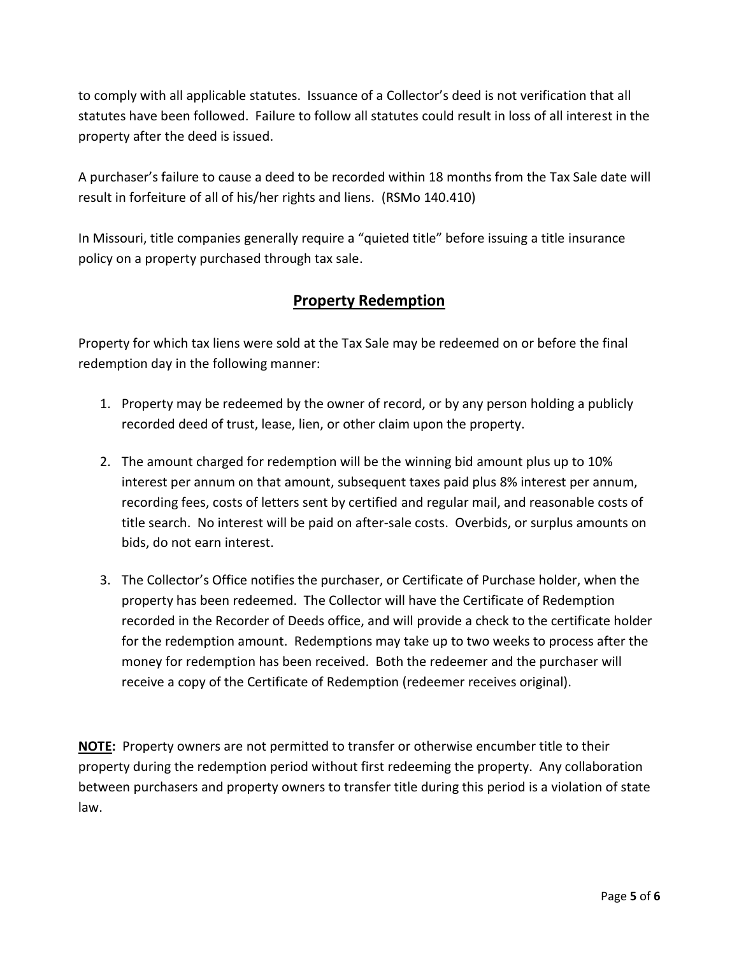to comply with all applicable statutes. Issuance of a Collector's deed is not verification that all statutes have been followed. Failure to follow all statutes could result in loss of all interest in the property after the deed is issued.

A purchaser's failure to cause a deed to be recorded within 18 months from the Tax Sale date will result in forfeiture of all of his/her rights and liens. (RSMo 140.410)

In Missouri, title companies generally require a "quieted title" before issuing a title insurance policy on a property purchased through tax sale.

## **Property Redemption**

Property for which tax liens were sold at the Tax Sale may be redeemed on or before the final redemption day in the following manner:

- 1. Property may be redeemed by the owner of record, or by any person holding a publicly recorded deed of trust, lease, lien, or other claim upon the property.
- 2. The amount charged for redemption will be the winning bid amount plus up to 10% interest per annum on that amount, subsequent taxes paid plus 8% interest per annum, recording fees, costs of letters sent by certified and regular mail, and reasonable costs of title search. No interest will be paid on after-sale costs. Overbids, or surplus amounts on bids, do not earn interest.
- 3. The Collector's Office notifies the purchaser, or Certificate of Purchase holder, when the property has been redeemed. The Collector will have the Certificate of Redemption recorded in the Recorder of Deeds office, and will provide a check to the certificate holder for the redemption amount. Redemptions may take up to two weeks to process after the money for redemption has been received. Both the redeemer and the purchaser will receive a copy of the Certificate of Redemption (redeemer receives original).

**NOTE:** Property owners are not permitted to transfer or otherwise encumber title to their property during the redemption period without first redeeming the property. Any collaboration between purchasers and property owners to transfer title during this period is a violation of state law.